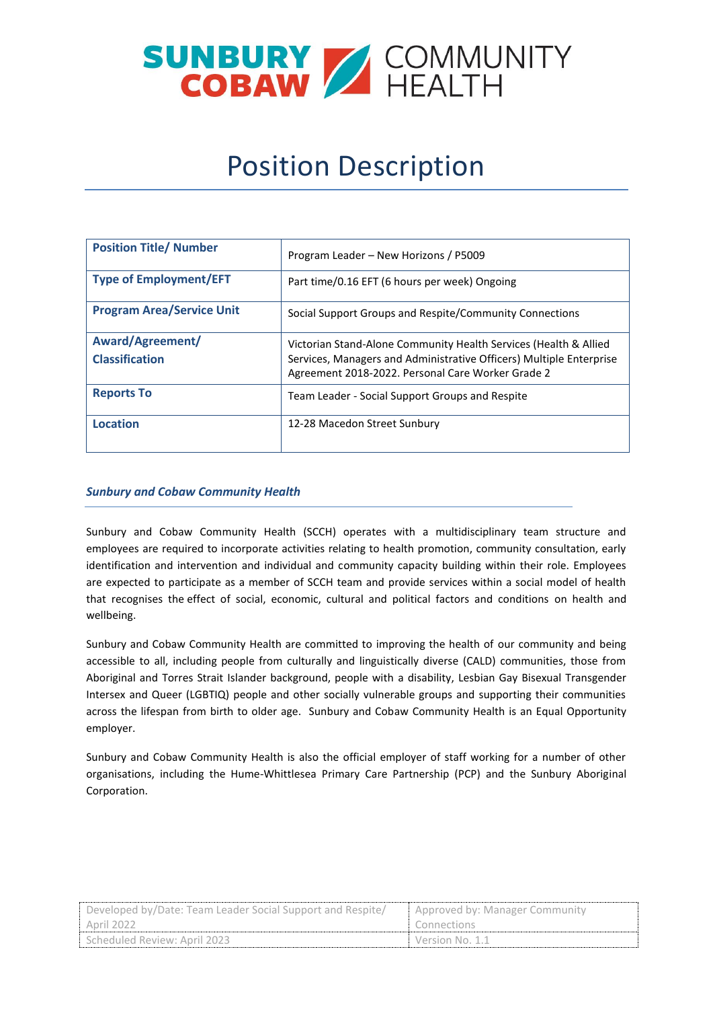

# Position Description

| <b>Position Title/ Number</b>                    | Program Leader - New Horizons / P5009                                                                                                                                                        |
|--------------------------------------------------|----------------------------------------------------------------------------------------------------------------------------------------------------------------------------------------------|
| <b>Type of Employment/EFT</b>                    | Part time/0.16 EFT (6 hours per week) Ongoing                                                                                                                                                |
| <b>Program Area/Service Unit</b>                 | Social Support Groups and Respite/Community Connections                                                                                                                                      |
| <b>Award/Agreement/</b><br><b>Classification</b> | Victorian Stand-Alone Community Health Services (Health & Allied<br>Services, Managers and Administrative Officers) Multiple Enterprise<br>Agreement 2018-2022. Personal Care Worker Grade 2 |
| <b>Reports To</b>                                | Team Leader - Social Support Groups and Respite                                                                                                                                              |
| Location                                         | 12-28 Macedon Street Sunbury                                                                                                                                                                 |

# *Sunbury and Cobaw Community Health*

Sunbury and Cobaw Community Health (SCCH) operates with a multidisciplinary team structure and employees are required to incorporate activities relating to health promotion, community consultation, early identification and intervention and individual and community capacity building within their role. Employees are expected to participate as a member of SCCH team and provide services within a social model of health that recognises the effect of social, economic, cultural and political factors and conditions on health and wellbeing.

Sunbury and Cobaw Community Health are committed to improving the health of our community and being accessible to all, including people from culturally and linguistically diverse (CALD) communities, those from Aboriginal and Torres Strait Islander background, people with a disability, Lesbian Gay Bisexual Transgender Intersex and Queer (LGBTIQ) people and other socially vulnerable groups and supporting their communities across the lifespan from birth to older age. Sunbury and Cobaw Community Health is an Equal Opportunity employer.

Sunbury and Cobaw Community Health is also the official employer of staff working for a number of other organisations, including the Hume-Whittlesea Primary Care Partnership (PCP) and the Sunbury Aboriginal Corporation.

| Developed by/Date: Team Leader Social Support and Respite/ | Approved by: Manager Community |
|------------------------------------------------------------|--------------------------------|
| April 2022                                                 | L Connections                  |
| Scheduled Review: April 2023                               | - Version No. 1.1              |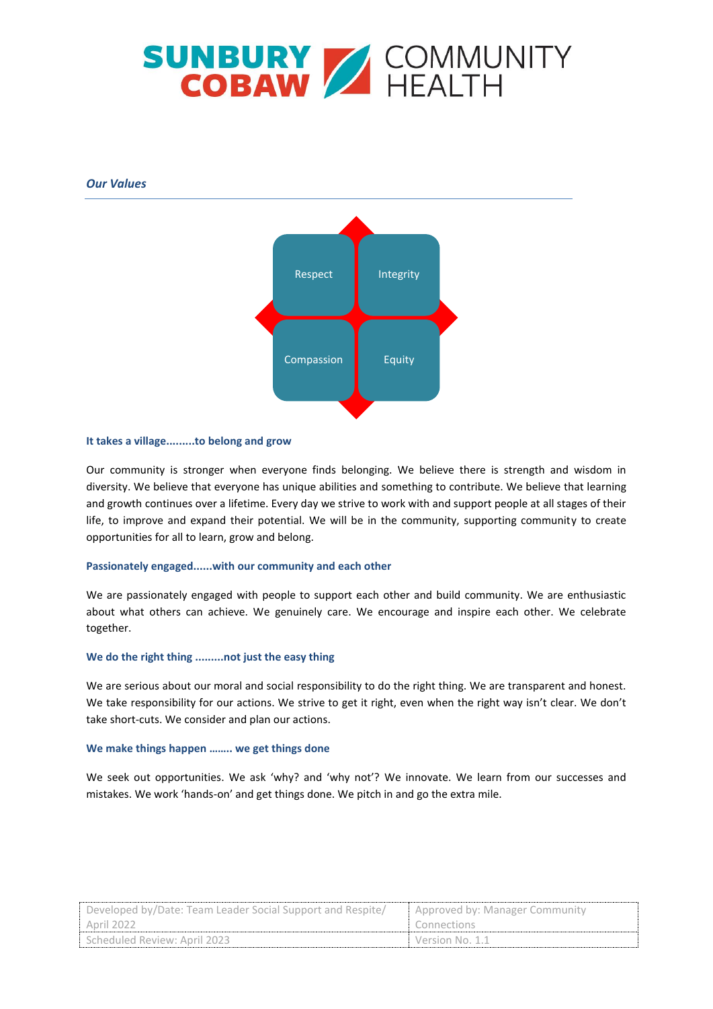

#### *Our Values*



#### **It takes a village.........to belong and grow**

Our community is stronger when everyone finds belonging. We believe there is strength and wisdom in diversity. We believe that everyone has unique abilities and something to contribute. We believe that learning and growth continues over a lifetime. Every day we strive to work with and support people at all stages of their life, to improve and expand their potential. We will be in the community, supporting community to create opportunities for all to learn, grow and belong.

#### **Passionately engaged......with our community and each other**

We are passionately engaged with people to support each other and build community. We are enthusiastic about what others can achieve. We genuinely care. We encourage and inspire each other. We celebrate together.

#### **We do the right thing .........not just the easy thing**

We are serious about our moral and social responsibility to do the right thing. We are transparent and honest. We take responsibility for our actions. We strive to get it right, even when the right way isn't clear. We don't take short-cuts. We consider and plan our actions.

#### **We make things happen …….. we get things done**

We seek out opportunities. We ask 'why? and 'why not'? We innovate. We learn from our successes and mistakes. We work 'hands-on' and get things done. We pitch in and go the extra mile.

| Developed by/Date: Team Leader Social Support and Respite/ | Approved by: Manager Community |
|------------------------------------------------------------|--------------------------------|
| - Anril 2022                                               | Connections                    |
| E Scheduled Review: April 2023                             | Version No. 1.1                |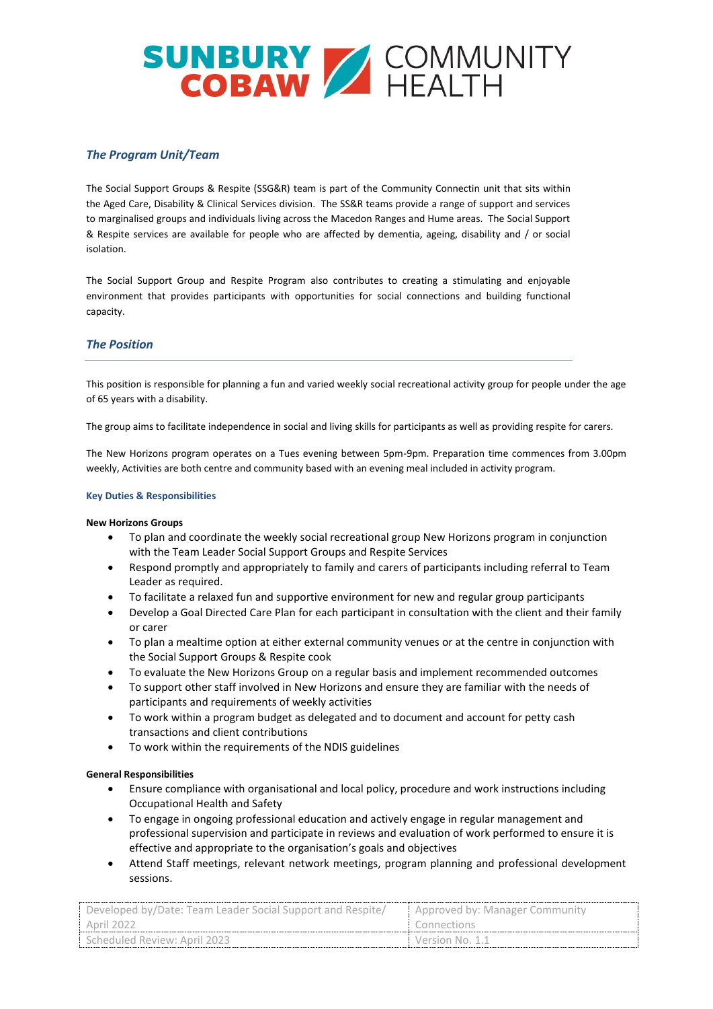# SUNBURY Z COMMUNITY

# *The Program Unit/Team*

The Social Support Groups & Respite (SSG&R) team is part of the Community Connectin unit that sits within the Aged Care, Disability & Clinical Services division. The SS&R teams provide a range of support and services to marginalised groups and individuals living across the Macedon Ranges and Hume areas. The Social Support & Respite services are available for people who are affected by dementia, ageing, disability and / or social isolation.

The Social Support Group and Respite Program also contributes to creating a stimulating and enjoyable environment that provides participants with opportunities for social connections and building functional capacity.

# *The Position*

This position is responsible for planning a fun and varied weekly social recreational activity group for people under the age of 65 years with a disability.

The group aims to facilitate independence in social and living skills for participants as well as providing respite for carers.

The New Horizons program operates on a Tues evening between 5pm-9pm. Preparation time commences from 3.00pm weekly, Activities are both centre and community based with an evening meal included in activity program.

#### **Key Duties & Responsibilities**

#### **New Horizons Groups**

- To plan and coordinate the weekly social recreational group New Horizons program in conjunction with the Team Leader Social Support Groups and Respite Services
- Respond promptly and appropriately to family and carers of participants including referral to Team Leader as required.
- To facilitate a relaxed fun and supportive environment for new and regular group participants
- Develop a Goal Directed Care Plan for each participant in consultation with the client and their family or carer
- To plan a mealtime option at either external community venues or at the centre in conjunction with the Social Support Groups & Respite cook
- To evaluate the New Horizons Group on a regular basis and implement recommended outcomes
- To support other staff involved in New Horizons and ensure they are familiar with the needs of participants and requirements of weekly activities
- To work within a program budget as delegated and to document and account for petty cash transactions and client contributions
- To work within the requirements of the NDIS guidelines

## **General Responsibilities**

- Ensure compliance with organisational and local policy, procedure and work instructions including Occupational Health and Safety
- To engage in ongoing professional education and actively engage in regular management and professional supervision and participate in reviews and evaluation of work performed to ensure it is effective and appropriate to the organisation's goals and objectives
- Attend Staff meetings, relevant network meetings, program planning and professional development sessions.

| Developed by/Date: Team Leader Social Support and Respite/ | Approved by: Manager Community |
|------------------------------------------------------------|--------------------------------|
| April 2022 -                                               | Connections                    |
| Scheduled Review: April 2023                               | Version No. 1.1                |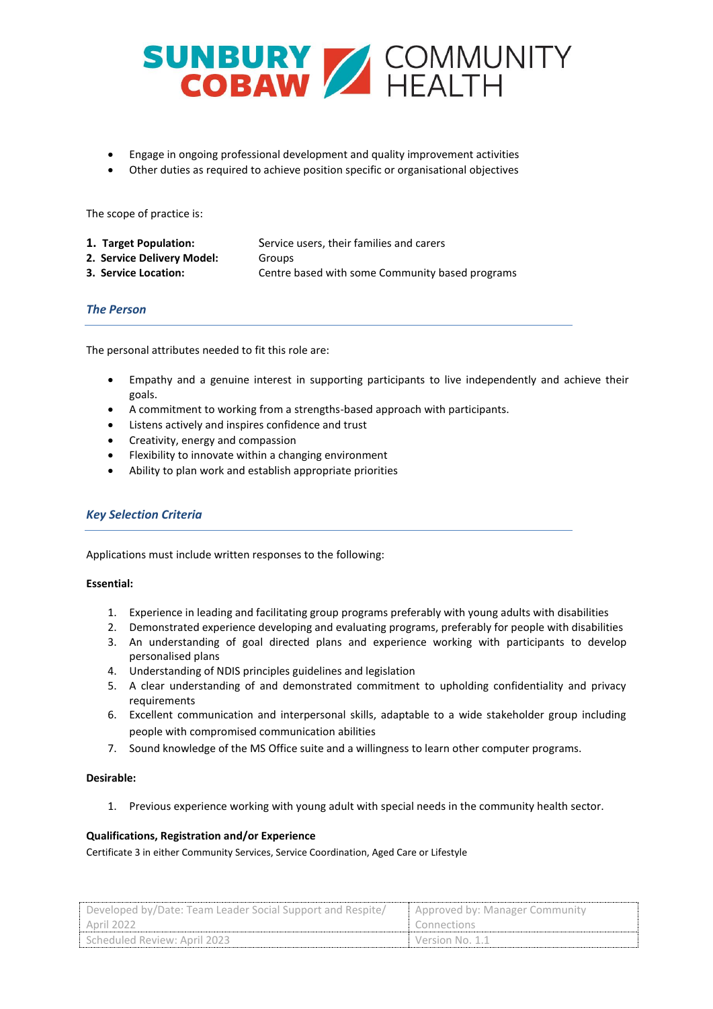

- Engage in ongoing professional development and quality improvement activities
- Other duties as required to achieve position specific or organisational objectives

The scope of practice is:

| 1. Target Population:      | Service users, their families and carers        |
|----------------------------|-------------------------------------------------|
| 2. Service Delivery Model: | Groups                                          |
| 3. Service Location:       | Centre based with some Community based programs |

# *The Person*

The personal attributes needed to fit this role are:

- Empathy and a genuine interest in supporting participants to live independently and achieve their goals.
- A commitment to working from a strengths-based approach with participants.
- Listens actively and inspires confidence and trust
- Creativity, energy and compassion
- Flexibility to innovate within a changing environment
- Ability to plan work and establish appropriate priorities

# *Key Selection Criteria*

Applications must include written responses to the following:

## **Essential:**

- 1. Experience in leading and facilitating group programs preferably with young adults with disabilities
- 2. Demonstrated experience developing and evaluating programs, preferably for people with disabilities
- 3. An understanding of goal directed plans and experience working with participants to develop personalised plans
- 4. Understanding of NDIS principles guidelines and legislation
- 5. A clear understanding of and demonstrated commitment to upholding confidentiality and privacy requirements
- 6. Excellent communication and interpersonal skills, adaptable to a wide stakeholder group including people with compromised communication abilities
- 7. Sound knowledge of the MS Office suite and a willingness to learn other computer programs.

## **Desirable:**

1. Previous experience working with young adult with special needs in the community health sector.

## **Qualifications, Registration and/or Experience**

Certificate 3 in either Community Services, Service Coordination, Aged Care or Lifestyle

| Developed by/Date: Team Leader Social Support and Respite/ | Approved by: Manager Community |
|------------------------------------------------------------|--------------------------------|
| April 2022                                                 | Connections                    |
| Scheduled Review: Anril 2023                               | Version No. 11                 |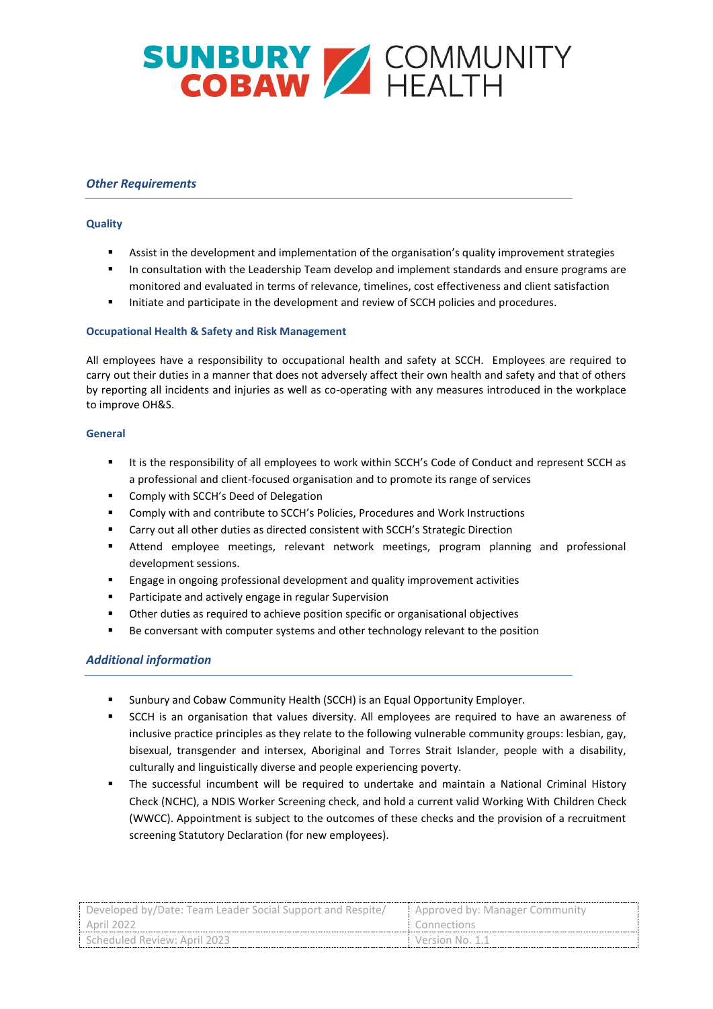

# *Other Requirements*

#### **Quality**

- Assist in the development and implementation of the organisation's quality improvement strategies
- **■** In consultation with the Leadership Team develop and implement standards and ensure programs are monitored and evaluated in terms of relevance, timelines, cost effectiveness and client satisfaction
- **■** Initiate and participate in the development and review of SCCH policies and procedures.

#### **Occupational Health & Safety and Risk Management**

All employees have a responsibility to occupational health and safety at SCCH. Employees are required to carry out their duties in a manner that does not adversely affect their own health and safety and that of others by reporting all incidents and injuries as well as co-operating with any measures introduced in the workplace to improve OH&S.

#### **General**

- It is the responsibility of all employees to work within SCCH's Code of Conduct and represent SCCH as a professional and client-focused organisation and to promote its range of services
- Comply with SCCH's Deed of Delegation
- **•** Comply with and contribute to SCCH's Policies, Procedures and Work Instructions
- Carry out all other duties as directed consistent with SCCH's Strategic Direction
- **■** Attend employee meetings, relevant network meetings, program planning and professional development sessions.
- Engage in ongoing professional development and quality improvement activities
- Participate and actively engage in regular Supervision
- Other duties as required to achieve position specific or organisational objectives
- Be conversant with computer systems and other technology relevant to the position

# *Additional information*

- Sunbury and Cobaw Community Health (SCCH) is an Equal Opportunity Employer.
- SCCH is an organisation that values diversity. All employees are required to have an awareness of inclusive practice principles as they relate to the following vulnerable community groups: lesbian, gay, bisexual, transgender and intersex, Aboriginal and Torres Strait Islander, people with a disability, culturally and linguistically diverse and people experiencing poverty.
- The successful incumbent will be required to undertake and maintain a National Criminal History Check (NCHC), a NDIS Worker Screening check, and hold a current valid Working With Children Check (WWCC). Appointment is subject to the outcomes of these checks and the provision of a recruitment screening Statutory Declaration (for new employees).

| Developed by/Date: Team Leader Social Support and Respite/ | Approved by: Manager Community |
|------------------------------------------------------------|--------------------------------|
| Anril 202                                                  |                                |
| E Scheduled Review: April 2023.                            | Version No. 1.1                |